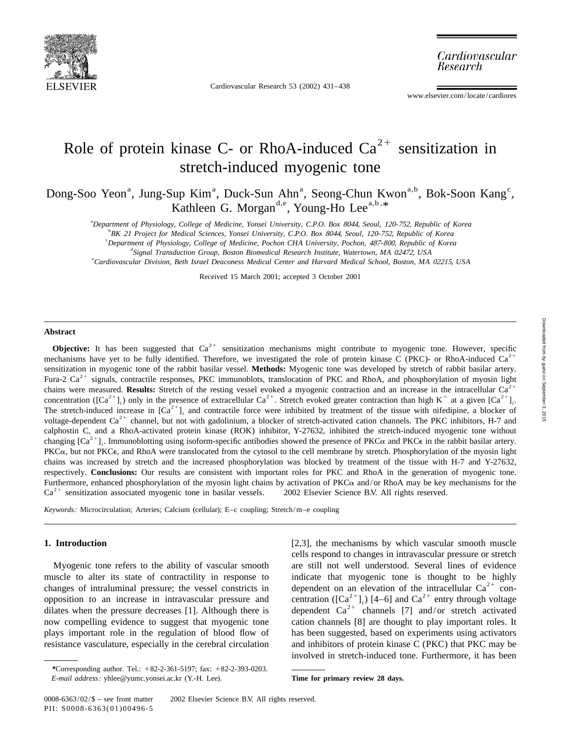

Cardiovascular Research 53 (2002) 431–438

Cardiovascular Research

www.elsevier.com/locate/cardiores

## Role of protein kinase C- or RhoA-induced  $Ca^{2+}$  sensitization in stretch-induced myogenic tone

Dong-Soo Yeon<sup>a</sup>, Jung-Sup Kim<sup>a</sup>, Duck-Sun Ahn<sup>a</sup>, Seong-Chun Kwon<sup>a,b</sup>, Bok-Soon Kang<sup>c</sup>, Kathleen G. Morgan<sup>d,e</sup>, Young-Ho Lee<sup>a,b,\*</sup>

a *Department of Physiology*, *College of Medicine*, *Yonsei University*, *C*.*P*.*O*. *Box* 8044, *Seoul*, <sup>120</sup>-752, *Republic of Korea*

b *BK* <sup>21</sup> *Project for Medical Sciences*, *Yonsei University*, *C*.*P*.*O*. *Box* 8044, *Seoul*, <sup>120</sup>-752, *Republic of Korea*

c *Department of Physiology*, *College of Medicine*, *Pochon CHA University*, *Pochon*, <sup>487</sup>-800, *Republic of Korea*

d *Signal Transduction Group*, *Boston Biomedical Research Institute*, *Watertown*, *MA* 02472, *USA*

e *Cardiovascular Division*, *Beth Israel Deaconess Medical Center and Harvard Medical School*, *Boston*, *MA* 02215, *USA*

Received 15 March 2001; accepted 3 October 2001

### **Abstract**

**Objective:** It has been suggested that  $Ca^{2+}$  sensitization mechanisms might contribute to myogenic tone. However, specific mechanisms have yet to be fully identified. Therefore, we investigated the role of protein kina sensitization in myogenic tone of the rabbit basilar vessel. **Methods:** Myogenic tone was developed by stretch of rabbit basilar artery.<br>Fura-2 Ca<sup>2+</sup> signals, contractile responses, PKC immunoblots, translocation of PKC calphostin C, and a RhoA-activated protein kinase (ROK) inhibitor, Y-27632, inhibited the stretch-induced myogenic tone without changing  $[Ca^{2+}]$ . Immunoblotting using isoform-specific antibodies showed the presence of PK PKCa, but not PKCe, and RhoA were translocated from the cytosol to the cell membrane by stretch. Phosphorylation of the myosin light chains was increased by stretch and the increased phosphorylation was blocked by treatment of the tissue with H-7 and Y-27632, respectively. **Conclusions:** Our results are consistent with important roles for PKC and RhoA in the generation of myogenic tone. Furthermore, enhanced phosphorylation of the myosin light chains by activation of PKC $\alpha$  and/or RhoA may be key mechanisms for the  $Ca^{2+}$  sensitization associated myogenic tone in basilar vessels.  $\odot$  2002 Elsevier Sc

*Keywords*: Microcirculation; Arteries; Calcium (cellular); E–c coupling; Stretch/m–e coupling

**1. Introduction** [2,3], the mechanisms by which vascular smooth muscle cells respond to changes in intravascular pressure or stretch Myogenic tone refers to the ability of vascular smooth are still not well understood. Several lines of evidence muscle to alter its state of contractility in response to indicate that myogenic tone is thought to be highly<br>changes of intraluminal pressure; the vessel constricts in dependent on an elevation of the intracellular  $Ca^{2+$ now compelling evidence to suggest that myogenic tone cation channels [8] are thought to play important roles. It plays important role in the regulation of blood flow of has been suggested, based on experiments using activators resistance vasculature, especially in the cerebral circulation and inhibitors of protein kinase C (PKC) that PKC may be involved in stretch-induced tone. Furthermore, it has been

*<sup>\*</sup>*Corresponding author. Tel.: 182-2-361-5197; fax: 182-2-393-0203. *E*-*mail address*: yhlee@yumc.yonsei.ac.kr (Y.-H. Lee). **Time for primary review 28 days.**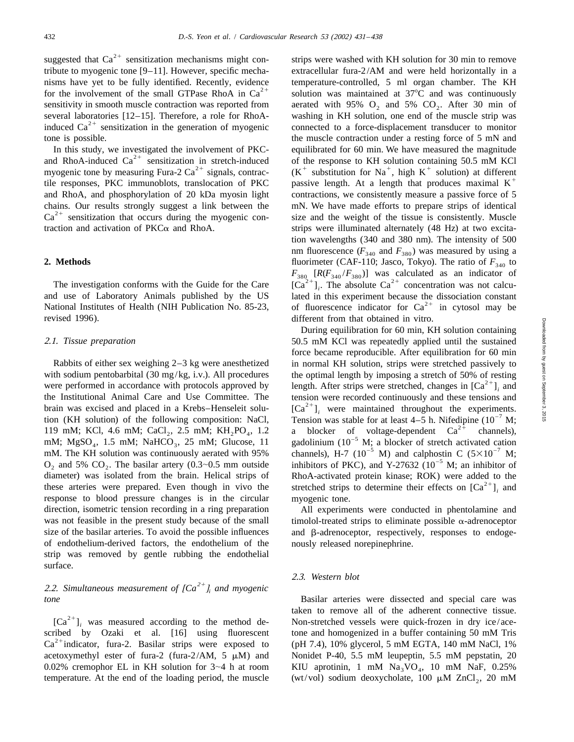suggested that  $Ca^{2+}$  sensitization mechanisms might con-<br>strips were washed with KH solution for 30 min to remove

and RhoA, and phosphorylation of 20 kDa myosin light contractions, we consistently measure a passive force of 5 chains. Our results strongly suggest a link between the mN. We have made efforts to prepare strips of identical  $Ca^{2+}$  sensitization that occurs during the myogenic con-<br>ize and the weight of the tissue is consistently. traction and activation of  $PKC\alpha$  and RhoA. strips were illuminated alternately (48 Hz) at two excita-

revised 1996). different from that obtained in vitro.

with sodium pentobarbital (30 mg/kg, i.v.). All procedures the optimal length by imposing a stretch of 50% of resting<br>were performed in accordance with protocols approved by length. After strips were stretched, changes in the Institutional Animal Care and Use Committee. The tension were recorded continuously and these tensions and<br>brain was excised and placed in a Krebs-Henseleit solu-<br>tion (KH solution) of the following composition: NaCl, diameter) was isolated from the brain. Helical strips of RhoA-activated protein kinase; ROK) were added to the these arteries were prepared. Even though in vivo the stretched strips to determine their effects on  $[Ca^{2+}]$ <sub></sub> response to blood pressure changes is in the circular direction, isometric tension recording in a ring preparation All experiments were conducted in phentolamine and was not feasible in the present study because of the small timolol-treated strips to eliminate possible  $\alpha$ -adrenoceptor size of the basilar arteries. To avoid the possible influences and  $\beta$ -adrenoceptor, respectively, responses to endogeof endothelium-derived factors, the endothelium of the nously released norepinephrine. strip was removed by gentle rubbing the endothelial surface.

### 2.2. Simultaneous measurement of  $[Ca^{2+}]\$  and myogenic *tone* Basilar arteries were dissected and special care was

0.02% cremophor EL in KH solution for 3~4 h at room KIU aprotinin, 1 mM  $\text{Na}_3\text{VO}_4$ , 10 mM NaF, 0.25% temperature. At the end of the loading period, the muscle (wt/vol) sodium deoxycholate, 100  $\mu$ M ZnCl<sub>2</sub>, 20 mM

tribute to myogenic tone [9–11]. However, specific mecha- extracellular fura-2/AM and were held horizontally in a nisms have yet to be fully identified. Recently, evidence temperature-controlled, 5 ml organ chamber. The KH for the involvement of the small GTPase RhoA in Ca<sup>2+</sup> solution was maintained at 37°C and was continuously sensitivity in smooth muscle contraction was reported from aerated with 95%  $O_2$  and 5%  $CO_2$ . After 30 min of several laboratories [12–15]. Therefore, a role for RhoA- washing in KH solution, one end of the muscle strip induced  $Ca^{2+}$  sensitization in the generation of myogenic connected to a force-displacement transducer to monitor tone is possible. the muscle contraction under a resting force of 5 mN and In this study, we investigated the involvement of PKC-<br>and RhoA-induced Ca<sup>2+</sup> sensitization in stretch-induced<br>of the response to KH solution containing 50.5 mM KCl<br>myogenic tone by measuring Fura-2 Ca<sup>2+</sup> signals, contr tion wavelengths (340 and 380 nm). The intensity of 500 nm fluorescence ( $F_{340}$  and  $F_{380}$ ) was measured by using a **2. Methods** fluorimeter (CAF-110; Jasco, Tokyo). The ratio of  $F_{340}$  to *F*<sub>380</sub>  $[R(F_{340}/F_{380})]$  was calculated as an indicator of  $[Ca^{2+}]_i$ . The absolute  $Ca^{2+}$  concentration was not calcu- and use of Laboratory Animals published by the US lated in this experiment because the dissociation National Institutes of Health (NIH Publication No. 85-23, of fluorescence indicator for Ca<sup>2+</sup> in cytosol may be

During equilibration for 60 min, KH solution containing 2.1. *Tissue preparation* 50.5 mM KCl was repeatedly applied until the sustained force became reproducible. After equilibration for 60 min Rabbits of either sex weighing 2–3 kg were anesthetized in normal KH solution, strips were stretched passively to

### 2.3. *Western blot*

taken to remove all of the adherent connective tissue.<br>
[Ca<sup>2+</sup>]<sub>i</sub> was measured according to the method de-<br>
<sup>21</sup> Non-stretched vessels were quick-frozen in dry ice/ace-<br> *i*cribed by Ozaki et al. [16] using fluorescent t scribed by Ozaki et al. [16] using fluorescent tone and homogenized in a buffer containing 50 mM Tris  $Ca^{2+}$  indicator, fura-2. Basilar strips were exposed to (pH 7.4), 10% glycerol, 5 mM EGTA, 140 mM NaCl, 1% acetoxymethyl ester of fura-2 (fura-2/AM,  $5 \mu M$ ) and Nonidet P-40, 5.5 mM leupeptin, 5.5 mM pepstatin, 20 (wt/vol) sodium deoxycholate, 100  $\mu$ M ZnCl<sub>2</sub>, 20 mM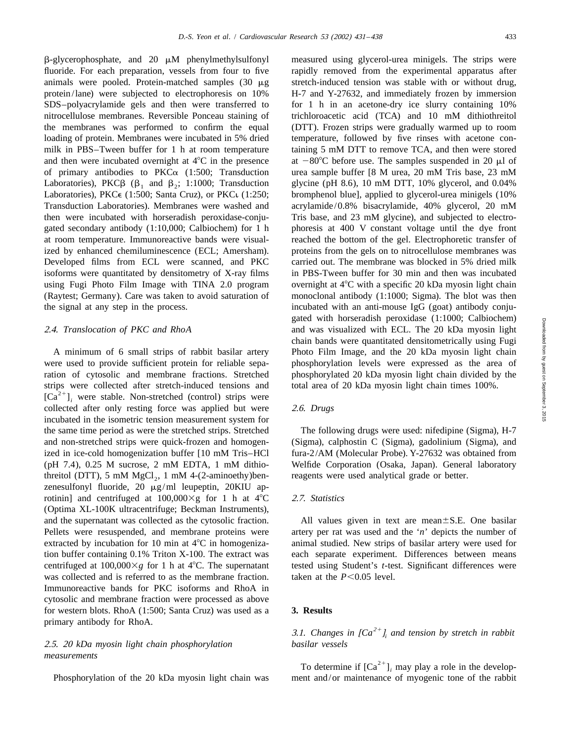$\beta$ -glycerophosphate, and 20  $\mu$ M phenylmethylsulfonyl measured using glycerol-urea minigels. The strips were fluoride. For each preparation, vessels from four to five rapidly removed from the experimental apparatus after animals were pooled. Protein-matched samples  $(30 \mu g$  stretch-induced tension was stable with or without drug, protein/lane) were subjected to electrophoresis on 10% H-7 and Y-27632, and immediately frozen by immersion SDS–polyacrylamide gels and then were transferred to for 1 h in an acetone-dry ice slurry containing  $10\%$ nitrocellulose membranes. Reversible Ponceau staining of trichloroacetic acid (TCA) and 10 mM dithiothreitol the membranes was performed to confirm the equal (DTT). Frozen strips were gradually warmed up to room loading of protein. Membranes were incubated in 5% dried temperature, followed by five rinses with acetone conmilk in PBS–Tween buffer for 1 h at room temperature taining 5 mM DTT to remove TCA, and then were stored and then were incubated overnight at  $4^{\circ}C$  in the presence at  $-80^{\circ}C$  before use. The samples suspended in 20  $\mu$ l of of primary antibodies to PKC $\alpha$  (1:500; Transduction urea sample buffer [8 M urea, 20 mM Tris base, 23 mM Laboratories), PKC $\beta$  ( $\beta_1$  and  $\beta_2$ ; 1:1000; Transduction glycine (pH 8.6), 10 mM DTT, 10% glycerol, and 0.04% Laboratories), PKC $\epsilon$  (1:500; Santa Cruz), or PKC $\iota$  (1:250; bromphenol blue], applied to glycerol-urea minigels (10%) Transduction Laboratories). Membranes were washed and acrylamide/0.8% bisacrylamide, 40% glycerol, 20 mM then were incubated with horseradish peroxidase-conju-<br>Tris base, and 23 mM glycine), and subjected to electrogated secondary antibody (1:10,000; Calbiochem) for 1 h phoresis at 400 V constant voltage until the dye front at room temperature. Immunoreactive bands were visual- reached the bottom of the gel. Electrophoretic transfer of ized by enhanced chemiluminescence (ECL; Amersham). proteins from the gels on to nitrocellulose membranes was Developed films from ECL were scanned, and PKC carried out. The membrane was blocked in 5% dried milk isoforms were quantitated by densitometry of X-ray films in PBS-Tween buffer for 30 min and then was incubated using Fugi Photo Film Image with TINA 2.0 program overnight at  $4^{\circ}$ C with a specific 20 kDa myosin light chain (Raytest; Germany). Care was taken to avoid saturation of monoclonal antibody (1:1000; Sigma). The blot was then the signal at any step in the process. incubated with an anti-mouse IgG (goat) antibody conju-

were used to provide sufficient protein for reliable sepa- phosphorylation levels were expressed as the area of ration of cytosolic and membrane fractions. Stretched phosphorylated 20 kDa myosin light chain divided by the strips were collected after stretch-induced tensions and total area of 20 kDa myosin light chain times 100%.  $[Ca^{2+}]$ , were stable. Non-stretched (control) strips were collected after only resting force was applied but were 2.6. *Drugs* incubated in the isometric tension measurement system for the same time period as were the stretched strips. Stretched The following drugs were used: nifedipine (Sigma), H-7 and non-stretched strips were quick-frozen and homogen- (Sigma), calphostin C (Sigma), gadolinium (Sigma), and ized in ice-cold homogenization buffer [10 mM Tris–HCl fura-2/AM (Molecular Probe). Y-27632 was obtained from (pH 7.4), 0.25 M sucrose, 2 mM EDTA, 1 mM dithio- Welfide Corporation (Osaka, Japan). General laboratory threitol (DTT), 5 mM  $MgCl<sub>2</sub>$ , 1 mM 4-(2-aminoethy)ben-reagents were used analytical grade or better. zenesulfonyl fluoride, 20 µg/ml leupeptin, 20KIU aprotinin] and centrifuged at  $100,000 \times g$  for 1 h at  $4^{\circ}$ C 2.7. *Statistics* (Optima XL-100K ultracentrifuge; Beckman Instruments), and the supernatant was collected as the cytosolic fraction. All values given in text are mean $\pm$ S.E. One basilar Pellets were resuspended, and membrane proteins were artery per rat was used and the '*n*' depicts the number of extracted by incubation for 10 min at 4°C in homogeniza- animal studied. New strips of basilar artery were used for tion buffer containing 0.1% Triton X-100. The extract was each separate experiment. Differences between means centrifuged at  $100,000\times g$  for 1 h at  $4^{\circ}$ C. The supernatant tested using Student's *t*-test. Significant differences were was collected and is referred to as the membrane fraction. taken at the  $P<0.05$  level. Immunoreactive bands for PKC isoforms and RhoA in cytosolic and membrane fraction were processed as above for western blots. RhoA (1:500; Santa Cruz) was used as a **3. Results** primary antibody for RhoA.

# 2.5. <sup>20</sup> *kDa myosin light chain phosphorylation basilar vessels*

gated with horseradish peroxidase (1:1000; Calbiochem) 2.4. *Translocation of PKC and RhoA* and was visualized with ECL. The 20 kDa myosin light chain bands were quantitated densitometrically using Fugi A minimum of 6 small strips of rabbit basilar artery Photo Film Image, and the 20 kDa myosin light chain

# 3.1. *Changes in*  $[Ca^{2+}l_i]$  *and tension by stretch in rabbit basilar vessels*

*measurements*<br>
<sup>21</sup> To determine if  $[Ca^{2+}]$ <sub>i</sub> may play a role in the develop-<br> *Phosphorylation* of the 20 kDa myosin light chain was ment and/or maintenance of myogenic tone of the rabbit ment and/or maintenance of myogenic tone of the rabbit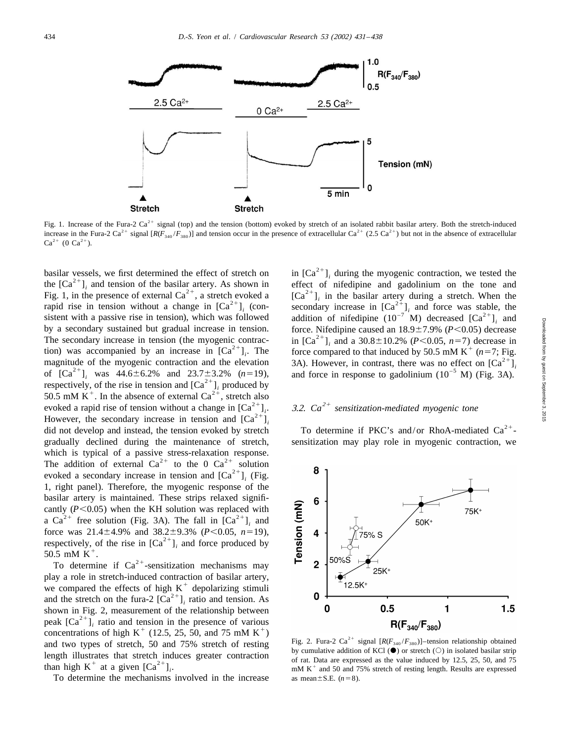

Fig. 1. Increase of the Fura-2  $Ca^{2+}$  signal (top) and the tension (bottom) evoked by stretch of an isolated rabbit basilar artery. Both the stretch-induced increase in the Fura-2 Ca<sup>2+</sup> signal  $[R(F_{340}/F_{380})]$  and tension occur in the presence of extracellular Ca<sup>2+</sup> (2.5 Ca<sup>2+</sup>) but not in the absence of extracellular Ca<sup>2+</sup> (0 Ca<sup>2+</sup>).

by a secondary sustained but gradual increase in tension.<br>
The secondary increase in tension (the myogenic contrac-<br>
in  $[Ca^{2+}]_i$  and a 30.8±10.2% (P<0.05, n=7) decrease in<br>
tion) was accompanied by an increase in  $[Ca^{2+$ gradually declined during the maintenance of stretch, sensitization may play role in myogenic contraction, we which is typical of a passive stress-relaxation response.<br>The addition of external Ca<sup>2+</sup> to the 0 Ca<sup>2+</sup> solution evoked a secondary increase in tension and  $[Ca<sup>2+</sup>]$ . (Fig. 1, right panel). Therefore, the myogenic response of the basilar artery is maintained. These strips relaxed significantly (*P*<0.05) when the KH solution was replaced with a Ca<sup>2+</sup> free solution (Fig. 3A). The fall in  $[Ca^{2+}]$ <sub>*i*</sub> and force was 21.4±4.9% and 38.2±9.3% (*P*<0.05, *n*=19), respectively, of the rise in  $[Ca^{2+}]_i$  and force produced by 50.5 mM K<sup>+</sup>. To determine if  $Ca^{2+}$ -sensitization mechanisms may

play a role in stretch-induced contraction of basilar artery, we compared the effects of high K<sup>+</sup> depolarizing stimuli and the stretch on the fura-2  $[Ca^{2+}]_i$  ratio and tension. As shown in Fig. 2, measurement of the re shown in Fig. 2, measurement of the relationship between<br>
peak  $\begin{bmatrix} \text{Ca}^{2+} \end{bmatrix}_i$  ratio and tension in the presence of various<br>
concentrations of high K<sup>+</sup> (12.5, 25, 50, and 75 mM K<sup>+</sup>)<br>
and two types of stretch, 5

To determine the mechanisms involved in the increase as mean $\pm$ S.E. (*n*=8).

basilar vessels, we first determined the effect of stretch on  $\text{in} [\text{Ca}^{2+}]_i$  during the myogenic contraction, we tested the the  $[\text{Ca}^{2+}]_i$  and tension of the basilar artery. As shown in  $[\text{Ca}^{2+}]_i$  during the myo

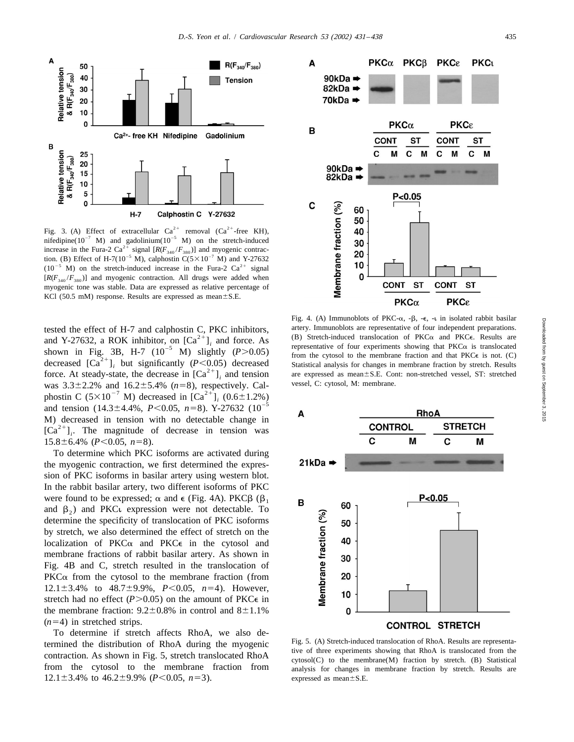

Fig. 3. (A) Effect of extracellular  $Ca^{2+}$  removal  $Ca^{2+}$ -free KH), nifedipine( $10^{-7}$  M) and gadolinium( $10^{-5}$  M) on the stretch-induced increase in the Fura-2 Ca<sup>2+</sup> signal  $[R(F_{340}/F_{380})]$  and myogenic contraction. (B) Effect of H-7(10<sup>-5</sup> M), calphostin C(5×10<sup>-7</sup> M) and Y-27632  $(10^{-5}$  M) on the stretch-induced increase in the Fura-2 Ca<sup>2+</sup> signal  $[R(F_{340}/F_{380})]$  and myogenic contraction. All drugs were added when myogenic tone was stable. Data are expressed as relative percentage of KCl (50.5 mM) response. Results are expressed as mean $\pm$ S.E.

tested the effect of H-7 and calphostin C, PKC inhibitors,<br>and Y-27632, a ROK inhibitor, on  $[Ca^{2+}]_i$  and force. As<br>shown in Fig. 3B, H-7 (10<sup>-5</sup> M) slightly (P>0.05)<br>decreased  $[Ca^{2+}]_i$  but significantly (P<0.05) decre was  $3.3\pm2.2\%$  and  $16.2\pm5.4\%$  ( $n=8$ ), respectively. Calphostin C ( $5\times10^{-7}$  M) decreased in [Ca<sup>2+</sup>]<sub>i</sub> (0.6±1.2%) and tension (14.3±4.4%, *P*<0.05, *n*=8). Y-27632 (10<sup>-5</sup> M) decreased in tension with no detectable change in  $[Ca^{2+}]$ . The magnitude of decrease in tension was  $15.8 \pm 6.4\%$  ( $P < 0.05$ ,  $n=8$ ).

To determine which PKC isoforms are activated during the myogenic contraction, we first determined the expression of PKC isoforms in basilar artery using western blot. In the rabbit basilar artery, two different isoforms of PKC were found to be expressed;  $\alpha$  and  $\epsilon$  (Fig. 4A). PKC $\beta$  ( $\beta_1$ ) and  $\beta_2$ ) and PKC<sub>i</sub> expression were not detectable. To determine the specificity of translocation of PKC isoforms by stretch, we also determined the effect of stretch on the localization of  $PKC\alpha$  and  $PKC\epsilon$  in the cytosol and membrane fractions of rabbit basilar artery. As shown in Fig. 4B and C, stretch resulted in the translocation of  $PKC\alpha$  from the cytosol to the membrane fraction (from 12.1 $\pm$ 3.4% to 48.7 $\pm$ 9.9%, *P*<0.05, *n*=4). However, stretch had no effect  $(P>0.05)$  on the amount of PKC $\epsilon$  in the membrane fraction:  $9.2 \pm 0.8\%$  in control and  $8 \pm 1.1\%$  $(n=4)$  in stretched strips.

To determine if stretch affects RhoA, we also determined the distribution of RhoA during the myogenic Fig. 5. (A) Stretch-induced translocation of RhoA. Results are representa-<br>
contraction. As shown in Fig. 5, stretch translocated RhoA evidence (C) to the membrane(M) f from the cytosol to the membrane fraction from analysis for changes in membrane fraction by stretch. Results are  $12.1 \pm 3.4\%$  to  $46.2 \pm 9.9\%$  ( $P < 0.05$ ,  $n=3$ ). expressed as mean $\pm$ S.E.



Downloaded from by guest on September 3, 2015 by guest on September 3, 2015 Downloaded from

Fig. 4. (A) Immunoblots of PKC- $\alpha$ , - $\beta$ , - $\epsilon$ , - $\iota$  in isolated rabbit basilar

![](_page_4_Figure_9.jpeg)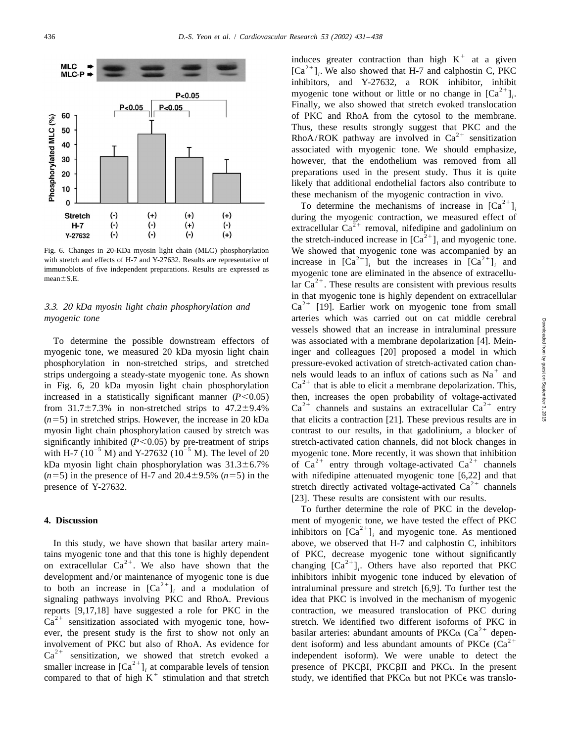![](_page_5_Figure_2.jpeg)

tains myogenic tone and that this tone is highly dependent of PKC, decrease myogenic tone without significantly<br>on extracellular Ca<sup>2+</sup>. We also have shown that the changing  $[Ca^{2+}]_i$ . Others have also reported that PKC<br> to both an increase in  $[Ca^{2+}]_i$  and a modulation of intraluminal pressure and stretch [6,9]. To further test the signaling pathways involving PKC and RhoA. Previous idea that PKC is involved in the mechanism of myogenic reports [9,17,18] have suggested a role for PKC in the contraction, we measured translocation of PKC during Ca<sup>2+</sup> sensitization associated with myogenic tone, how-<br>ever, the present study is the first to show not only an

induces greater contraction than high K<sup>+</sup> at a given  $[Ca^{2+}]_i$ . We also showed that H-7 and calphostin C, PKC inhibitors. and Y-27632. a ROK inhibitor. inhibitor myogenic tone without or little or no change in  $[Ca^{2+}]$ . Finally, we also showed that stretch evoked translocation of PKC and RhoA from the cytosol to the membrane. Thus, these results strongly suggest that PKC and the RhoA/ROK pathway are involved in  $Ca^{2+}$  sensitization associated with myogenic tone. We should emphasize, however, that the endothelium was removed from all preparations used in the present study. Thus it is quite likely that additional endothelial factors also contribute to

these mechanism of the myogenic contraction in vivo.<br>To determine the mechanisms of increase in  $[Ca^{2+}]$ <sub>*i*</sub> during the myogenic contraction, we measured effect of extracellular Ca<sup>2+</sup> removal, nifedipine and gadolinium on the stretch-induced increase in  $[Ca<sup>2+</sup>]$ , and myogenic tone. Fig. 6. Changes in 20-KDa myosin light chain (MLC) phosphorylation We showed that myogenic tone was accompanied by an with stretch and effects of H-7 and Y-27632. Results are representative of<br>increase in  $[Ca^{2+}]_i$  but the increases in  $[Ca^{2+}]_i$  and<br>mean±S.E.<br>lar  $Ca^{2+}$ . These results are consistent with previous results in that myogenic tone is highly dependent on extracellular<br>3.3. 20 *kDa myosin light chain phosphorylation and* Ca<sup>2+</sup> [19]. Earlier work on myogenic tone from small *myogenic tone* arteries which was carried out on cat middle cerebral vessels showed that an increase in intraluminal pressure To determine the possible downstream effectors of was associated with a membrane depolarization [4]. Meinmyogenic tone, we measured 20 kDa myosin light chain inger and colleagues [20] proposed a model in which phosphorylation in non-stretched strips, and stretched pressure-evoked activation of stretch-activated cation chan-<br>strips undergoing a steady-state myogenic tone. As shown hels would leads to an influx of cations such as increased in a statistically significant manner ( $P < 0.05$ ) then, increases the open probability of voltage-activated<br>from 31.7±7.3% in non-stretched strips to 47.2±9.4%  $Ca^{2+}$  channels and sustains an extracellular  $Ca^{2$  $(n=5)$  in stretched strips. However, the increase in 20 kDa that elicits a contraction [21]. These previous results are in myosin light chain phosphorylation caused by stretch was contrast to our results, in that gadolinium, a blocker of significantly inhibited ( $P < 0.05$ ) by pre-treatment of strips<br>with H-7 ( $10^{-5}$  M) and Y-27632 ( $10^{-5}$  M). The level of 20<br>kDa myosin light chain phosphorylation was  $31.3 \pm 6.7\%$ <br>of Ca<sup>2+</sup> entry through voltage-activa (*n*=5) in the presence of H-7 and 20.4±9.5% (*n*=5) in the with nifedipine attenuated myogenic tone [6,22] and that stretch directly activated voltage-activated Ca<sup>2+</sup> channels [23]. These results are consistent with our results.

To further determine the role of PKC in the develop-**4. Discussion** ment of myogenic tone, we have tested the effect of PKC inhibitors on  $[Ca^{2+}]$ <sub>i</sub> and myogenic tone. As mentioned *i*n this study, we have shown that basilar artery main-<br>*in* above, we observed that H-7 a above, we observed that H-7 and calphostin C, inhibitors idea that PKC is involved in the mechanism of myogenic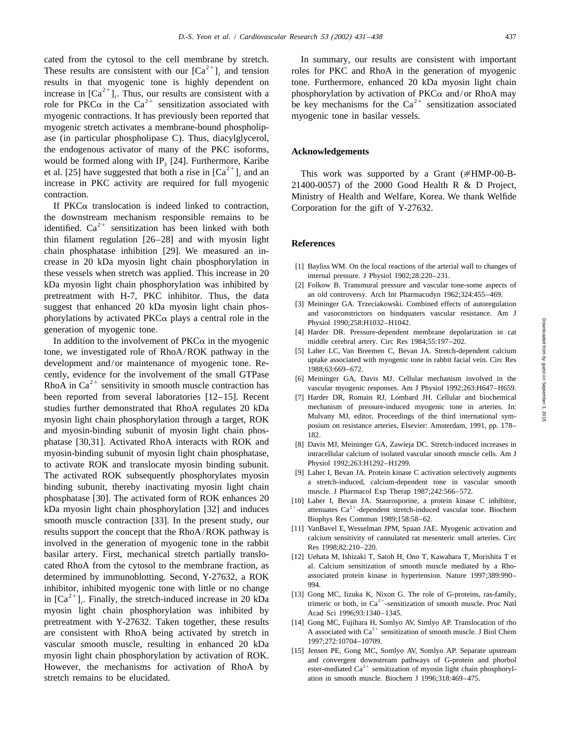cated from the cytosol to the cell membrane by stretch. In summary, our results are consistent with important<br>These results are consistent with our  $[Ca^{2+}]_i$  and tension roles for PKC and RhoA in the generation of myogen increase in  ${[Ca^{2+}]}_i$ . Thus, our results are consistent with a phosphorylation by activation of PKC $\alpha$  and/or RhoA may role for PKC $\alpha$  in the Ca<sup>2+</sup> sensitization associated with be key mechanisms for the Ca<sup>2+</sup> sens myogenic contractions. It has previously been reported that myogenic tone in basilar vessels. myogenic stretch activates a membrane-bound phospholipase (in particular phospholipase C). Thus, diacylglycerol, the endogenous activator of many of the PKC isoforms, **Acknowledgements** would be formed along with  $IP_3$  [24]. Furthermore, Karibe et al. [25] have suggested that both a rise in  $[Ca^{2+}]_i$  and an *i* This work was supported by a Grant (#HMP-00-B-<br>increase in PKC activity are required for full myogenic 21400-0057) of the 2000 Good Health R & D Project

If PKC $\alpha$  translocation is indeed linked to contraction, Corporation for the gift of Y-27632.<br>the downstream mechanism responsible remains to be identified.  $Ca^{2+}$  sensitization has been linked with both thin filament regulation [26–28] and with myosin light **References** chain phosphatase inhibition [29]. We measured an increase in 20 kDa myosin light chain phosphorylation in [1] Bayliss WM. On the local reactions of the arterial wall to changes of these vessels when stretch was applied. This increase in 20 internal pressure. J Physiol 1902;28:220–231. kDa myosin light chain phosphorylation was inhibited by [2] Folkow B. Transmural pressure and vascular tone-some aspects of pretreatment with H-7, PKC inhibitor. Thus, the data an old controversy. Arch Int Pharmacodyn 1962;324:455–469.<br>
[3] Meininger GA. Trzeciakowski. Combined effects of autoregulation suggest that enhanced 20 kDa myosin light chain phos-<br>phorylations by activated PKCα plays a central role in the<br>generation of myogenic tone. [4] Harder DR. Pressure-dependent membrane denolarization in cat

In addition to the involvement of  $PKC\alpha$  in the myogenic middle cerebral artery. Circ Res 1984;55:197–202. tone, we investigated role of RhoA/ROK pathway in the [5] Laher LC, Van Breemen C, Bevan JA. Stretch-dependent calcium<br>dovelopment and/or maintenance of muogenic tone. Be development and/or maintenance of myogenic tone. Re-<br>
cently, evidence for the involvement of the small GTPase<br>
RhoA in Ca<sup>2+</sup> sensitivity in smooth muscle contraction has<br>
Fig. 6. Davis MJ. Cellular mechanism involved in been reported from several laboratories [12–15]. Recent [7] Harder DR, Romain RJ, Lombard JH. Cellular and biochemical studies further demonstrated that RhoA regulates 20 kDa mechanism of pressure-induced myogenic tone in arteries. In:<br>myosin light chain phosphorylation through a target ROK Mulvany MJ, editor, Proceedings of the third inte myosin light chain phosphorylation through a target, ROK<br>and myosin-binding subunit of myosin light chain phos-<br>182.<br>182. phatase [30,31]. Activated RhoA interacts with ROK and [8] Davis MJ, Meininger GA, Zawieja DC. Stretch-induced increases in myosin-binding subunit of myosin light chain phosphatase, intracellular calcium of isolated vascular smooth muscle cells. Am J to activate ROK and translocate myosin binding subunit.<br>The activated POK subsequently phosphorylates myosin [9] Laher I, Bevan JA. Protein kinase C activation selectively augments The activated ROK subsequently phosphorylates myosin<br>
binding subunit, thereby inactivating myosin light chain<br>
phosphatase [30]. The activated form of ROK enhances 20<br>  $\frac{19}{100}$  Laher I, Bevan JA. Protein kinase C acti  $kDa$  myosin light chain phosphorylation [32] and induces attenuates  $Ca<sup>2+</sup>$ -dependent stretch-induced vascular tone. Biochem smooth muscle contraction [33]. In the present study, our Biophys Res Commun 1989;158:58–62.<br>
[11] VanBavel E, Wesselman JPM, Spaan JAE. Myogenic activation and results support the concentration PDA A (POK pathway is [11] results support the concept that the RhoA/ROK pathway is<br>involved in the generation of myogenic tone in the rabbit<br>basilar artery. First, mechanical stretch partially translo-<br>calcium sensitivity of cannulated rat mesenter cated RhoA from the cytosol to the membrane fraction, as al. Calcium sensitization of smooth muscle mediated by a Rhodetermined by immunoblotting. Second, Y-27632, a ROK associated protein kinase in hypertension. Nature 1997;389:990– inhibitor, inhibited myogenic tone with little or no change<br>in  $\left[\text{Ca}^{2+}\right]_i$ . Finally, the stretch-induced increase in 20 kDa<br>interior both, in  $\text{Ca}^{2+}$ -sensitization of smooth muscle. Proc Natl myosin light chain phosphorylation was inhibited by Acad Sci 1996;93:1340-1345. pretreatment with Y-27632. Taken together, these results [14] Gong MC, Fujihara H, Somlyo AV, Simlyo AP. Translocation of rho<br>are consistent with RhoA being activated by stretch in A associated with Ca<sup>2+</sup> sensitization of are consistent with RhoA being activated by stretch in  $\frac{A \text{ associated with Ca}^{2}}{1997;272:10704-10709}$ . vascular smooth muscle, resulting in enhanced 20 kDa<br>myosin light chain phosphorylation by activation of ROK. [15] Jensen PE, Gong MC, Somlyo AV, Somlyo AP. Separate upstream<br>and convergent downstream pathways of G-protein However, the mechanisms for activation of RhoA by  $\qquad$  ester-mediated  $Ca^{2+}$  sensitization of myosin light chain phosphorylstretch remains to be elucidated.  $\frac{1996;318:469-475}{1996;318:469-475}$ 

 $21400-0057$ ) of the 2000 Good Health R & D Project, contraction. Ministry of Health and Welfare, Korea. We thank Welfide

- 
- 
- 
- [4] Harder DR. Pressure-dependent membrane depolarization in cat
- 
- 
- 
- 
- 
- [10] Laher I, Bevan JA. Staurosporine, a protein kinase C inhibitor,
- 
- [12] Uehata M, Ishizaki T, Satoh H, Ono T, Kawahara T, Morishita T et
- 
- 
-